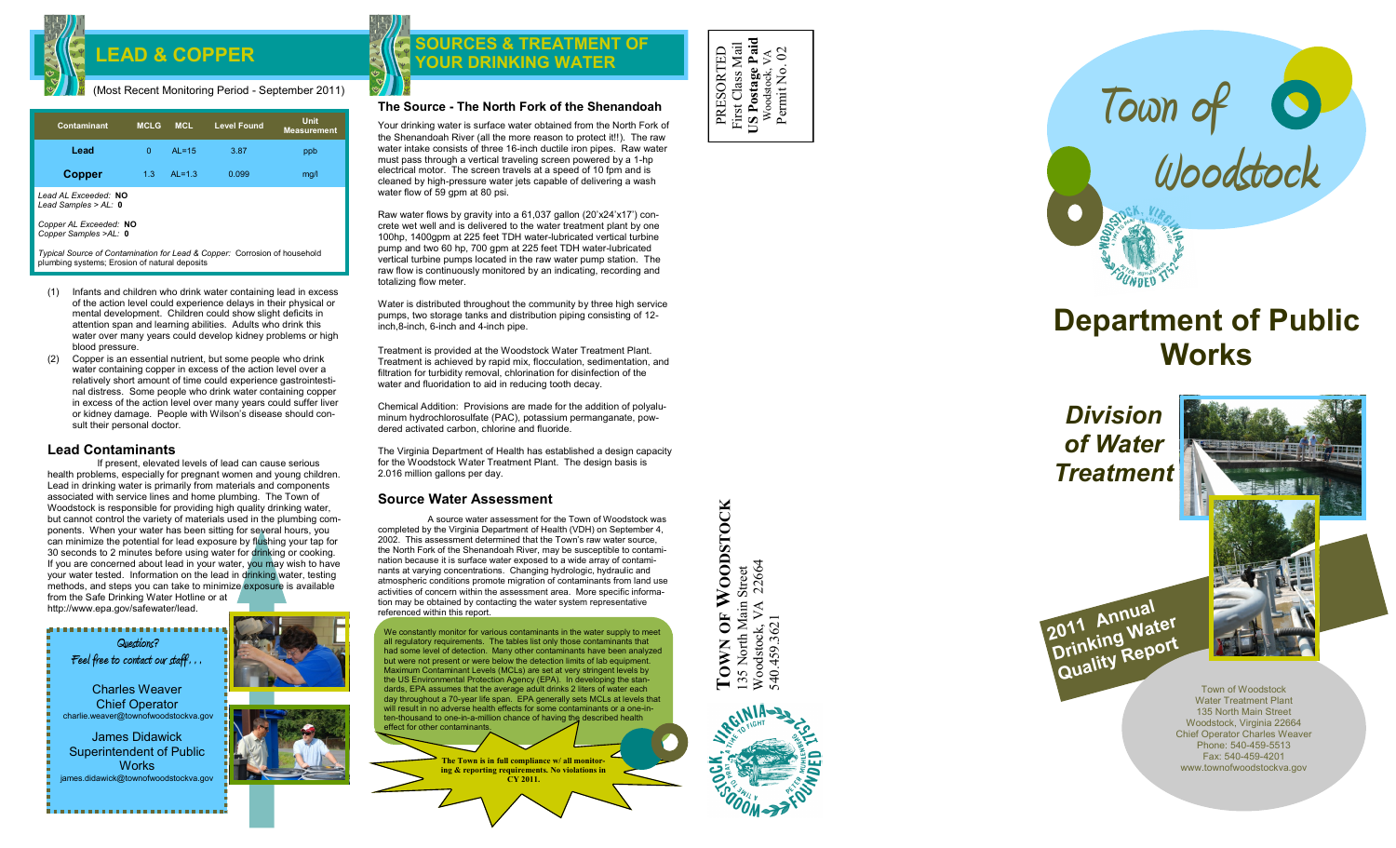

## (Most Recent Monitoring Period - September 2011)

| Contaminant                                                               | <b>MCLG</b> | <b>MCL</b> | <b>Level Found</b> | Unit<br><b>Measurement</b> |
|---------------------------------------------------------------------------|-------------|------------|--------------------|----------------------------|
| Lead                                                                      | $\Omega$    | $AL = 15$  | 3.87               | ppb                        |
| <b>Copper</b>                                                             | 1.3         | $AL=1.3$   | 0.099              | mq/l                       |
| Lead AL Exceeded: NO<br>Lead Samples > $AL: 0$                            |             |            |                    |                            |
| Copper AL Exceeded: NO<br>Copper Samples >AL: 0                           |             |            |                    |                            |
| Tunical Source of Contamination for Lead & Conner: Corrosion of bousehold |             |            |                    |                            |

*Typical Source of Contamination for Lead & Copper:* Corrosion of household plumbing systems; Erosion of natural deposits

- (1) Infants and children who drink water containing lead in excess of the action level could experience delays in their physical or mental development. Children could show slight deficits in attention span and learning abilities. Adults who drink this water over many years could develop kidney problems or high blood pressure.
- (2) Copper is an essential nutrient, but some people who drink water containing copper in excess of the action level over a relatively short amount of time could experience gastrointestinal distress. Some people who drink water containing copper in excess of the action level over many years could suffer liver or kidney damage. People with Wilson's disease should consult their personal doctor.

# **Lead Contaminants**

If present, elevated levels of lead can cause serious health problems, especially for pregnant women and young children. Lead in drinking water is primarily from materials and components associated with service lines and home plumbing. The Town of Woodstock is responsible for providing high quality drinking water, but cannot control the variety of materials used in the plumbing components. When your water has been sitting for several hours, you can minimize the potential for lead exposure by flushing your tap for 30 seconds to 2 minutes before using water for drinking or cooking. If you are concerned about lead in your water, you may wish to have your water tested. Information on the lead in drinking water, testing methods, and steps you can take to minimize exposure is available from the Safe Drinking Water Hotline or at http://www.epa.gov/safewater/lead.

,,,,,,,,,,,,,,,,,,,,,,,,,, **Questions? Feel free to contact our staff…** Charles Weaver Chief Operator charlie.weaver@townofwoodstockva.gov James Didawick Superintendent of Public **Works** james.didawick@townofwoodstockva.gov

# LEAD & COPPER **EXISTENCES** & TREATMEN **SOURCES & TREATMENT OF**  $\begin{bmatrix} 0 & \frac{\pi}{8} & \frac{\pi}{8} & \frac{\pi}{8} \\ \frac{\pi}{8} & \frac{\pi}{8} & \frac{\pi}{8} & \frac{\pi}{8} \end{bmatrix}$

# **The Source - The North Fork of the Shenandoah**

Your drinking water is surface water obtained from the North Fork of the Shenandoah River (all the more reason to protect it!!). The raw water intake consists of three 16-inch ductile iron pipes. Raw water must pass through a vertical traveling screen powered by a 1 -hp electrical motor. The screen travels at a speed of 10 fpm and is cleaned by high -pressure water jets capable of delivering a wash water flow of  $\overline{59}$  gpm at 80 psi.

Raw water flows by gravity into a 61,037 gallon (20'x24'x17') concrete wet well and is delivered to the water treatment plant by one 100hp, 1400gpm at 225 feet TDH water -lubricated vertical turbine pump and two 60 hp, 700 gpm at 225 feet TDH water -lubricated vertical turbine pumps located in the raw water pump station. The raw flow is continuously monitored by an indicating, recording and totalizing flow meter.

Water is distributed throughout the community by three high service pumps, two storage tanks and distribution piping consisting of 12 inch,8 -inch, 6 -inch and 4 -inch pipe.

Treatment is provided at the Woodstock Water Treatment Plant. Treatment is achieved by rapid mix, flocculation, sedimentation, and filtration for turbidity removal, chlorination for disinfection of the water and fluoridation to aid in reducing tooth decay.

Chemical Addition: Provisions are made for the addition of polyaluminum hydrochlorosulfate (PAC), potassium permanganate, powdered activated carbon, chlorine and fluoride.

The Virginia Department of Health has established a design capacity for the Woodstock Water Treatment Plant. The design basis is 2.016 million gallons per day.

# **Source Water Assessment**

A source water assessment for the Town of Woodstock was completed by the Virginia Department of Health (VDH) on September 4, 2002. This assessment determined that the Town's raw water source, the North Fork of the Shenandoah River, may be susceptible to contamination because it is surface water exposed to a wide array of contaminants at varying concentrations. Changing hydrologic, hydraulic and atmospheric conditions promote migration of contaminants from land use activities of concern within the assessment area. More specific information may be obtained by contacting the water system representative referenced within this report.

We constantly monitor for various contaminants in the water supply to meet all regulatory requirements. The tables list only those contaminants that had some level of detection. Many other contaminants have been analyzed but were not present or were below the detection limits of lab equipment. Maximum Contaminant Levels (MCLs) are set at very stringent levels by the US Environmental Protection Agency (EPA). In developing the standards, EPA assumes that the average adult drinks 2 liters of water each day throughout a 70 -year life span. EPA generally sets MCLs at levels that will result in no adverse health effects for some contaminants or a one-inten-thousand to one-in-a-million chance of having the described health effect for other contaminants.

> **The Town is in full compliance w/ all monitoring & reporting requirements. No violations in CY 2011.**

PRESORTED First Class Mail **US Postage Paid** First Class Mail<br>US Postage Paid<br>Woodstock, VA<br>Permit No. 02 Permit No. 02



# **Department of Public Works**

*Division of Water Treatment*



Town of Woodstock Water Treatment Plant 135 North Main Street Woodstock, Virginia 22664 Chief Operator Charles Weaver Phone: 540-459-5513 Fax: 540 -459 -4201 www.townofwoodstockva.gov

OF WOODSTOCK **TOWN OF WOODSTOCK** 135 North Main Street<br>Woodstock, VA 22664<br>540.459.3621 Woodstock, VA 22664 135 North Main Street TOWN